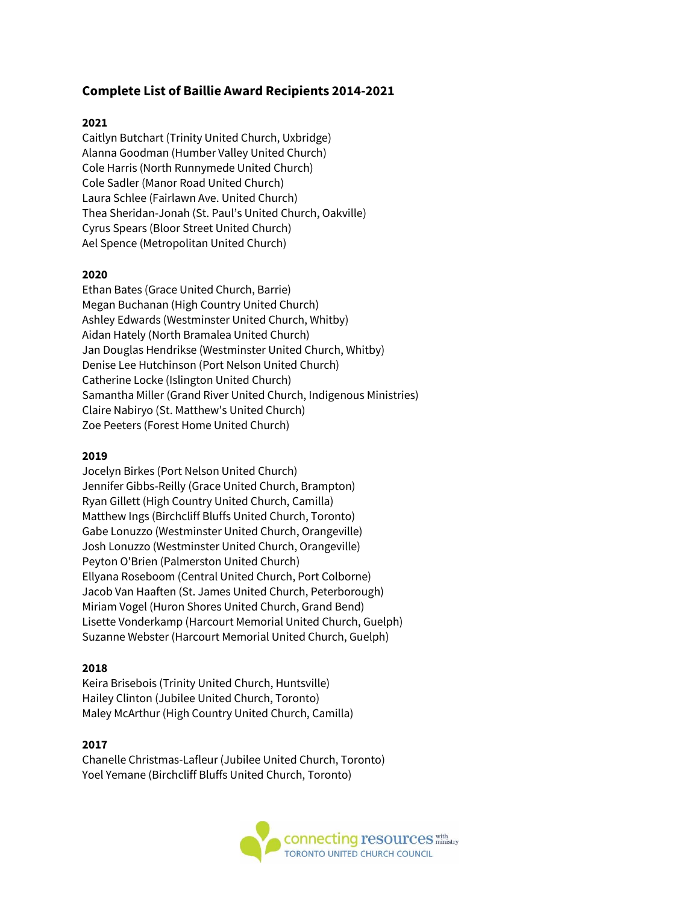# **Complete List of Baillie Award Recipients 2014-2021**

## **2021**

Caitlyn Butchart (Trinity United Church, Uxbridge) Alanna Goodman (Humber Valley United Church) Cole Harris (North Runnymede United Church) Cole Sadler (Manor Road United Church) Laura Schlee (Fairlawn Ave. United Church) Thea Sheridan-Jonah (St. Paul's United Church, Oakville) Cyrus Spears (Bloor Street United Church) Ael Spence (Metropolitan United Church)

## **2020**

Ethan Bates (Grace United Church, Barrie) Megan Buchanan (High Country United Church) Ashley Edwards (Westminster United Church, Whitby) Aidan Hately (North Bramalea United Church) Jan Douglas Hendrikse (Westminster United Church, Whitby) Denise Lee Hutchinson (Port Nelson United Church) Catherine Locke (Islington United Church) Samantha Miller (Grand River United Church, Indigenous Ministries) Claire Nabiryo (St. Matthew's United Church) Zoe Peeters (Forest Home United Church)

#### **2019**

Jocelyn Birkes (Port Nelson United Church) Jennifer Gibbs-Reilly (Grace United Church, Brampton) Ryan Gillett (High Country United Church, Camilla) Matthew Ings (Birchcliff Bluffs United Church, Toronto) Gabe Lonuzzo (Westminster United Church, Orangeville) Josh Lonuzzo (Westminster United Church, Orangeville) Peyton O'Brien (Palmerston United Church) Ellyana Roseboom (Central United Church, Port Colborne) Jacob Van Haaften (St. James United Church, Peterborough) Miriam Vogel (Huron Shores United Church, Grand Bend) Lisette Vonderkamp (Harcourt Memorial United Church, Guelph) Suzanne Webster (Harcourt Memorial United Church, Guelph)

## **2018**

Keira Brisebois (Trinity United Church, Huntsville) Hailey Clinton (Jubilee United Church, Toronto) Maley McArthur (High Country United Church, Camilla)

## **2017**

Chanelle Christmas-Lafleur (Jubilee United Church, Toronto) Yoel Yemane (Birchcliff Bluffs United Church, Toronto)